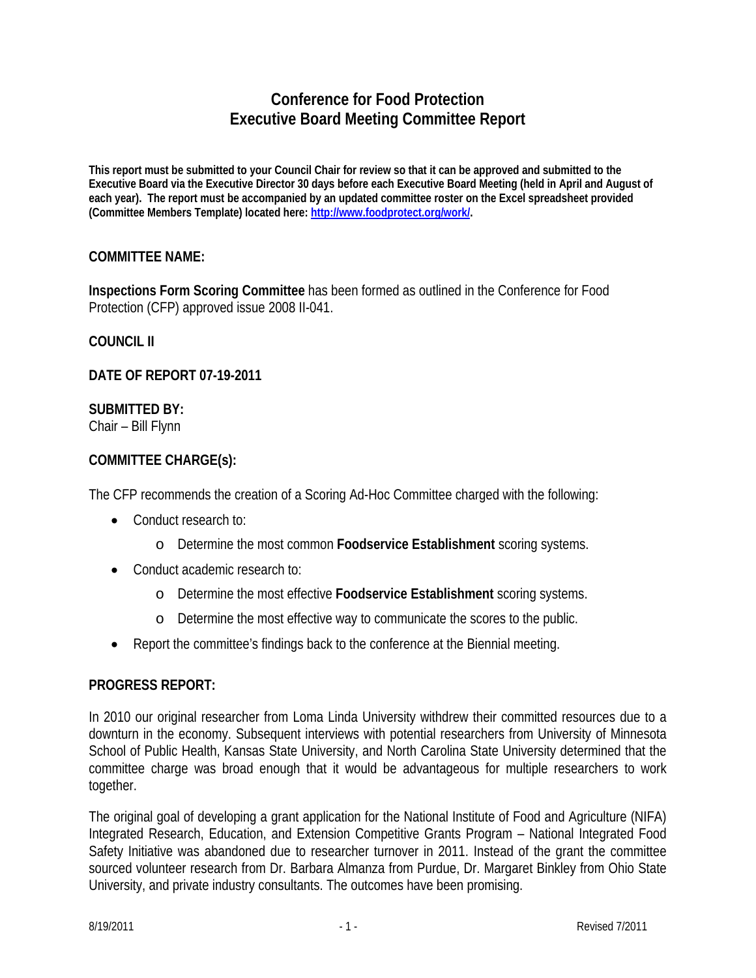# **Conference for Food Protection Executive Board Meeting Committee Report**

**This report must be submitted to your Council Chair for review so that it can be approved and submitted to the Executive Board via the Executive Director 30 days before each Executive Board Meeting (held in April and August of each year). The report must be accompanied by an updated committee roster on the Excel spreadsheet provided (Committee Members Template) located here: http://www.foodprotect.org/work/.** 

### **COMMITTEE NAME:**

**Inspections Form Scoring Committee** has been formed as outlined in the Conference for Food Protection (CFP) approved issue 2008 II-041.

### **COUNCIL II**

**DATE OF REPORT 07-19-2011** 

### **SUBMITTED BY:**

Chair – Bill Flynn

### **COMMITTEE CHARGE(s):**

The CFP recommends the creation of a Scoring Ad-Hoc Committee charged with the following:

- Conduct research to:
	- o Determine the most common **Foodservice Establishment** scoring systems.
- Conduct academic research to:
	- o Determine the most effective **Foodservice Establishment** scoring systems.
	- o Determine the most effective way to communicate the scores to the public.
- Report the committee's findings back to the conference at the Biennial meeting.

### **PROGRESS REPORT:**

In 2010 our original researcher from Loma Linda University withdrew their committed resources due to a downturn in the economy. Subsequent interviews with potential researchers from University of Minnesota School of Public Health, Kansas State University, and North Carolina State University determined that the committee charge was broad enough that it would be advantageous for multiple researchers to work together.

The original goal of developing a grant application for the National Institute of Food and Agriculture (NIFA) Integrated Research, Education, and Extension Competitive Grants Program – National Integrated Food Safety Initiative was abandoned due to researcher turnover in 2011. Instead of the grant the committee sourced volunteer research from Dr. Barbara Almanza from Purdue, Dr. Margaret Binkley from Ohio State University, and private industry consultants. The outcomes have been promising.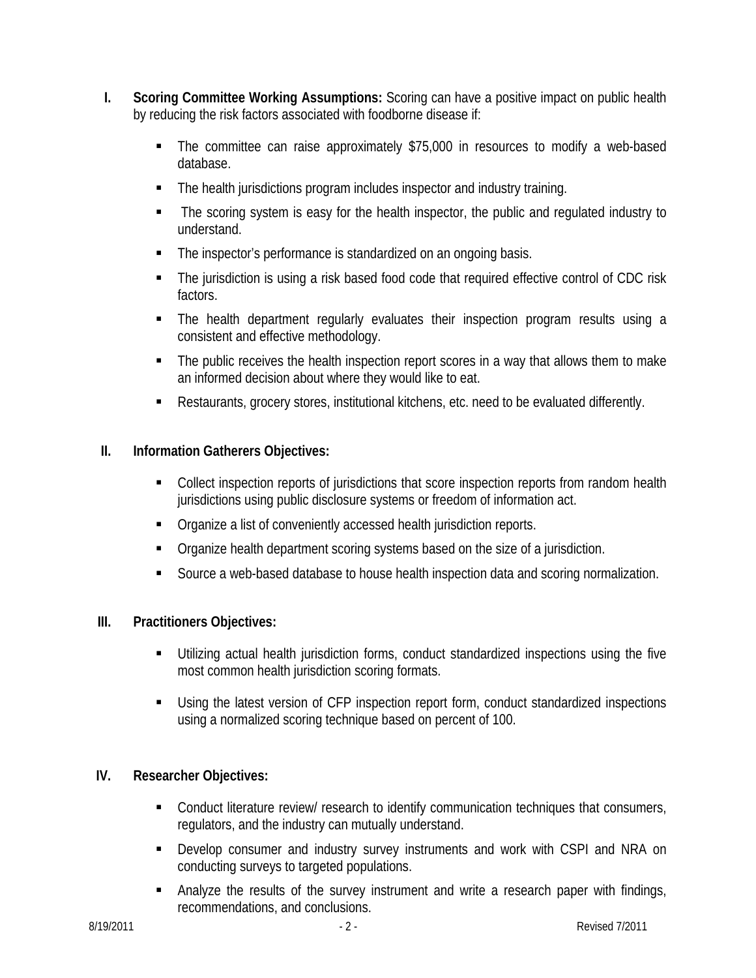- **I. Scoring Committee Working Assumptions:** Scoring can have a positive impact on public health by reducing the risk factors associated with foodborne disease if:
	- The committee can raise approximately \$75,000 in resources to modify a web-based database.
	- The health jurisdictions program includes inspector and industry training.
	- The scoring system is easy for the health inspector, the public and regulated industry to understand.
	- The inspector's performance is standardized on an ongoing basis.
	- The jurisdiction is using a risk based food code that required effective control of CDC risk factors.
	- The health department regularly evaluates their inspection program results using a consistent and effective methodology.
	- The public receives the health inspection report scores in a way that allows them to make an informed decision about where they would like to eat.
	- Restaurants, grocery stores, institutional kitchens, etc. need to be evaluated differently.

# **II. Information Gatherers Objectives:**

- Collect inspection reports of jurisdictions that score inspection reports from random health jurisdictions using public disclosure systems or freedom of information act.
- **•** Organize a list of conveniently accessed health jurisdiction reports.
- **•** Organize health department scoring systems based on the size of a jurisdiction.
- Source a web-based database to house health inspection data and scoring normalization.

# **III. Practitioners Objectives:**

- Utilizing actual health jurisdiction forms, conduct standardized inspections using the five most common health jurisdiction scoring formats.
- Using the latest version of CFP inspection report form, conduct standardized inspections using a normalized scoring technique based on percent of 100.

# **IV. Researcher Objectives:**

- **Conduct literature review/ research to identify communication techniques that consumers,** regulators, and the industry can mutually understand.
- Develop consumer and industry survey instruments and work with CSPI and NRA on conducting surveys to targeted populations.
- Analyze the results of the survey instrument and write a research paper with findings, recommendations, and conclusions.